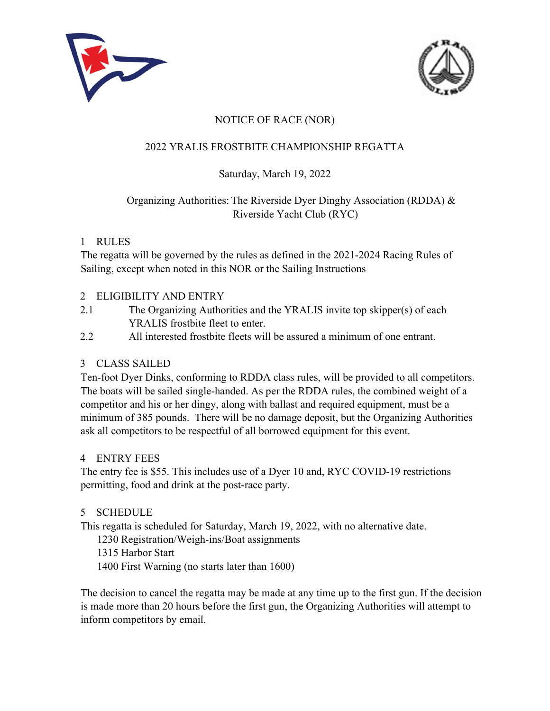



# NOTICE OF RACE (NOR)

## 2022 YRALIS FROSTBITE CHAMPIONSHIP REGATTA

## Saturday, March 19, 2022

# Organizing Authorities: The Riverside Dyer Dinghy Association (RDDA) & Riverside Yacht Club (RYC)

### 1 RULES

The regatta will be governed by the rules as defined in the 2021-2024 Racing Rules of Sailing, except when noted in this NOR or the Sailing Instructions

### 2 ELIGIBILITY AND ENTRY

- 2.1 The Organizing Authorities and the YRALIS invite top skipper(s) of each YRALIS frostbite fleet to enter.
- 2.2 All interested frostbite fleets will be assured a minimum of one entrant.

## 3 CLASS SAILED

Ten-foot Dyer Dinks, conforming to RDDA class rules, will be provided to all competitors. The boats will be sailed single-handed. As per the RDDA rules, the combined weight of a competitor and his or her dingy, along with ballast and required equipment, must be a minimum of 385 pounds. There will be no damage deposit, but the Organizing Authorities ask all competitors to be respectful of all borrowed equipment for this event.

#### 4 ENTRY FEES

The entry fee is \$55. This includes use of a Dyer 10 and, RYC COVID-19 restrictions permitting, food and drink at the post-race party.

## 5 SCHEDULE

This regatta is scheduled for Saturday, March 19, 2022, with no alternative date.

1230 Registration/Weigh‐ins/Boat assignments

- 1315 Harbor Start
- 1400 First Warning (no starts later than 1600)

The decision to cancel the regatta may be made at any time up to the first gun. If the decision is made more than 20 hours before the first gun, the Organizing Authorities will attempt to inform competitors by email.